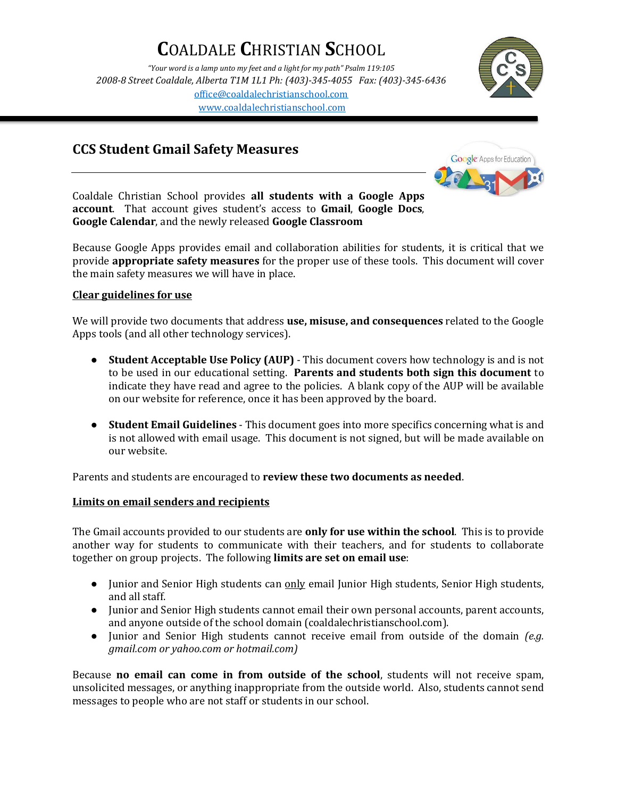# **C**OALDALE **C**HRISTIAN **S**CHOOL

*"Your word is a lamp unto my feet and a light for my path" Psalm 119:105 2008-8 Street Coaldale, Alberta T1M 1L1 Ph: (403)-345-4055 Fax: (403)-345-6436* [office@coaldalechristianschool.com](mailto:office@coaldalechristianschool.com) [www.coaldalechristianschool.com](http://www.coaldalechristianschool.com/)



## **CCS Student Gmail Safety Measures**



Coaldale Christian School provides **all students with a Google Apps account**. That account gives student's access to **Gmail**, **Google Docs**, **Google Calendar**, and the newly released **Google Classroom**

Because Google Apps provides email and collaboration abilities for students, it is critical that we provide **appropriate safety measures** for the proper use of these tools. This document will cover the main safety measures we will have in place.

### **Clear guidelines for use**

We will provide two documents that address **use, misuse, and consequences** related to the Google Apps tools (and all other technology services).

- **Student Acceptable Use Policy (AUP)**  This document covers how technology is and is not to be used in our educational setting. **Parents and students both sign this document** to indicate they have read and agree to the policies. A blank copy of the AUP will be available on our website for reference, once it has been approved by the board.
- **Student Email Guidelines**  This document goes into more specifics concerning what is and is not allowed with email usage. This document is not signed, but will be made available on our website.

Parents and students are encouraged to **review these two documents as needed**.

### **Limits on email senders and recipients**

The Gmail accounts provided to our students are **only for use within the school**. This is to provide another way for students to communicate with their teachers, and for students to collaborate together on group projects. The following **limits are set on email use**:

- Junior and Senior High students can only email Junior High students, Senior High students, and all staff.
- Junior and Senior High students cannot email their own personal accounts, parent accounts, and anyone outside of the school domain (coaldalechristianschool.com).
- Junior and Senior High students cannot receive email from outside of the domain *(e.g. gmail.com or yahoo.com or hotmail.com)*

Because **no email can come in from outside of the school**, students will not receive spam, unsolicited messages, or anything inappropriate from the outside world. Also, students cannot send messages to people who are not staff or students in our school.